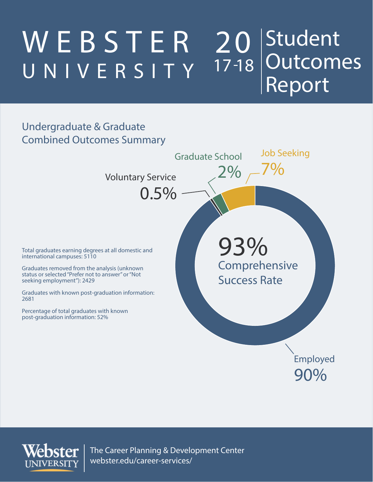#### W E B S T E R UNIVERSITY 20 Student Outcomes Report  $\overline{17}$  -18

#### Undergraduate & Graduate Combined Outcomes Summary



The Career Planning & Development Center webster.edu/career-services/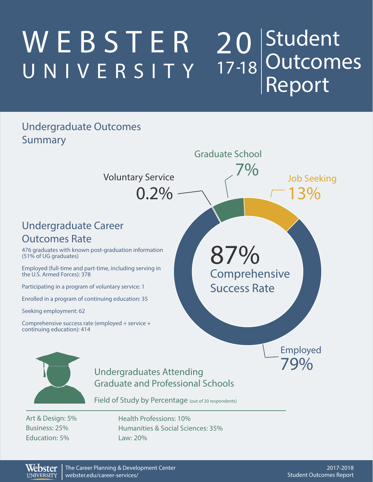#### W E B S T E R UNIVERSITY Student Outcomes Report 20 17 18

#### Undergraduate Outcomes Summary



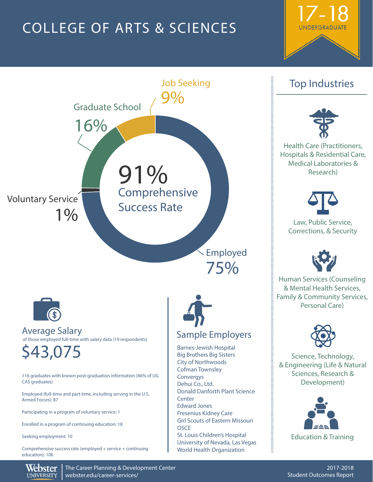## COLLEGE OF ARTS & SCIENCES





#### Top Industries



Health Care (Practitioners, Hospitals & Residential Care, Medical Laboratories & Research)



Law, Public Service, Corrections, & Security



Human Services (Counseling & Mental Health Services, Family & Community Services, Personal Care)



Science, Technology, & Engineering (Life & Natural Sciences, Research & Development)



The Career Planning & Development Center webster.edu/career-services/

Webster **UNIVERSITY**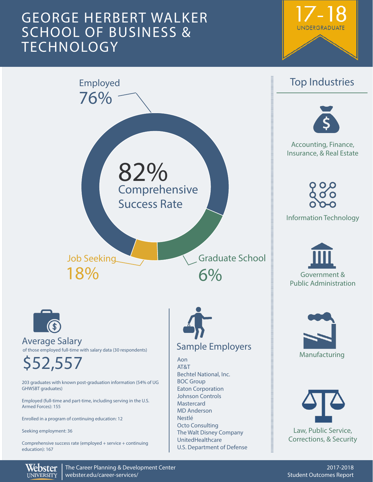### GEORGE HERBERT WALKER SCHOOL OF BUSINESS & **TECHNOLOGY**





Webster **UNIVERSITY** 

The Career Planning & Development Center webster.edu/career-services/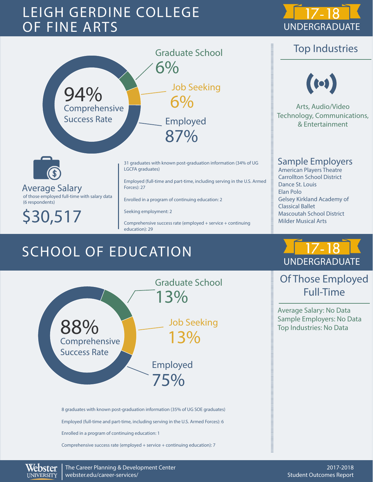### LEIGH GERDINE COLLEGE OF FINE ARTS



Top Industries





Average Salary of those employed full-time with salary data (6 respondents)

\$30,517

31 graduates with known post-graduation information (34% of UG LGCFA graduates)

Employed (full-time and part-time, including serving in the U.S. Armed Forces): 27

Enrolled in a program of continuing education: 2

Seeking employment: 2

Comprehensive success rate (employed + service + continuing education): 29

## SCHOOL OF EDUCATION



8 graduates with known post-graduation information (35% of UG SOE graduates) Employed (full-time and part-time, including serving in the U.S. Armed Forces): 6 Enrolled in a program of continuing education: 1 Comprehensive success rate (employed + service + continuing education): 7

UNDERGRADUATE

Sample Employers American Players Theatre Carrollton School District

Arts, Audio/Video Technology, Communications, & Entertainment

 $(c)$ 

Gelsey Kirkland Academy of

Mascoutah School District Milder Musical Arts

Dance St. Louis Elan Polo

 $\begin{bmatrix} \text{minimize} & \text{minimize} \\ \text{minimize} & \text{minimize} \\ \text{minimize} & \text{minimize} \\ \text{minimize} & \text{minimize} \\ \text{minimize} & \text{minimize} \\ \text{minimize} & \text{minimize} \\ \text{minimize} & \text{minimize} \\ \text{minimize} & \text{minimize} \\ \text{minimize} & \text{minimize} \\ \text{minimize} & \text{minimize} \\ \text{minimize} & \text{minimize} \\ \text{minimize} & \text{minimize} \\ \text{minimize} & \text{minimize} \\ \text{minimize} & \text{minimize} \\ \text{minimize} & \text{minimize} \\ \text{min$ 

Classical Ballet

### Of Those Employed Full-Time

Average Salary: No Data Sample Employers: No Data Top Industries: No Data



 $\begin{array}{c} \hline \text{H} & \text{H} & \text{H} & \text{H} & \text{H} \\ \hline \text{H} & \text{H} & \text{H} & \text{H} & \text{H} & \text{H} \\ \end{array}$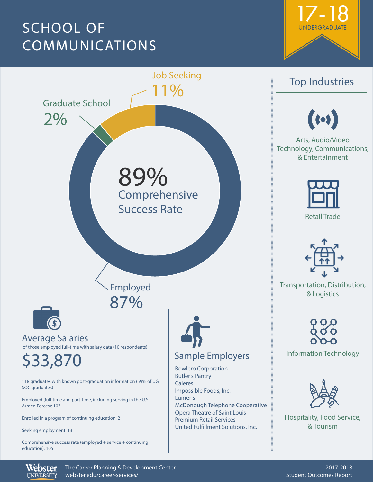## SCHOOL OF COMMUNICATIONS





Webster **UNIVERSITY** 

The Career Planning & Development Center webster.edu/career-services/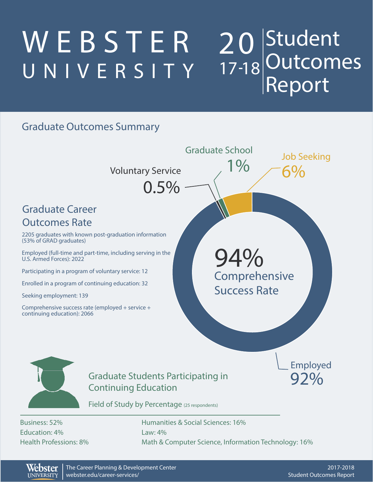#### W E B S T E R UNIVERSITY Student Outcomes Report 20 17 18

#### Graduate Outcomes Summary



Webster **UNIVERSITY**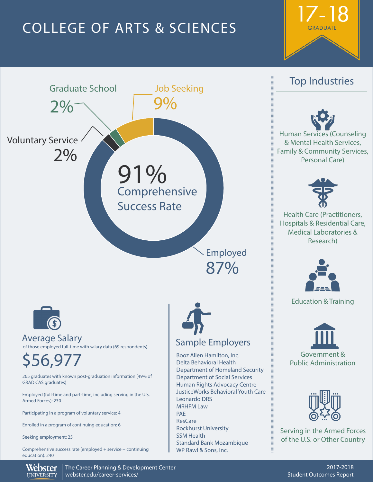## COLLEGE OF ARTS & SCIENCES





#### Top Industries





Health Care (Practitioners, Hospitals & Residential Care, Medical Laboratories & Research)



Education & Training





Serving in the Armed Forces of the U.S. or Other Country

The Career Planning & Development Center webster.edu/career-services/

Webster **UNIVERSITY**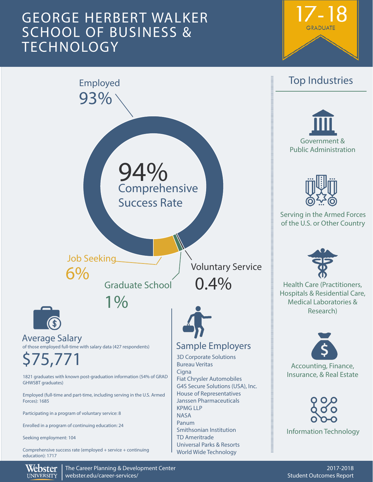### GEORGE HERBERT WALKER SCHOOL OF BUSINESS & **TECHNOLOGY**





Webster **UNIVERSITY** 

The Career Planning & Development Center webster.edu/career-services/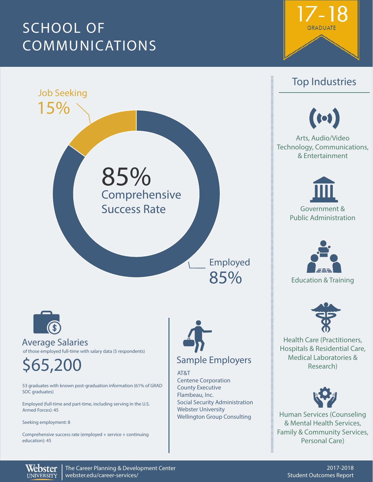## SCHOOL OF COMMUNICATIONS





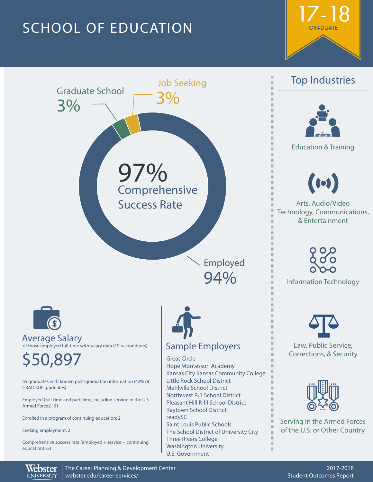## SCHOOL OF EDUCATION





# $\begin{array}{c} \begin{array}{c} \begin{array}{c} \end{array} \end{array}$



Education & Training



Arts, Audio/Video Technology, Communications, & Entertainment

Information Technology



Law, Public Service, Corrections, & Security



Serving in the Armed Forces of the U.S. or Other Country

**THEFT** 

Webster The Career Planning & Development Center webster.edu/career-services/ **UNIVERSITY**